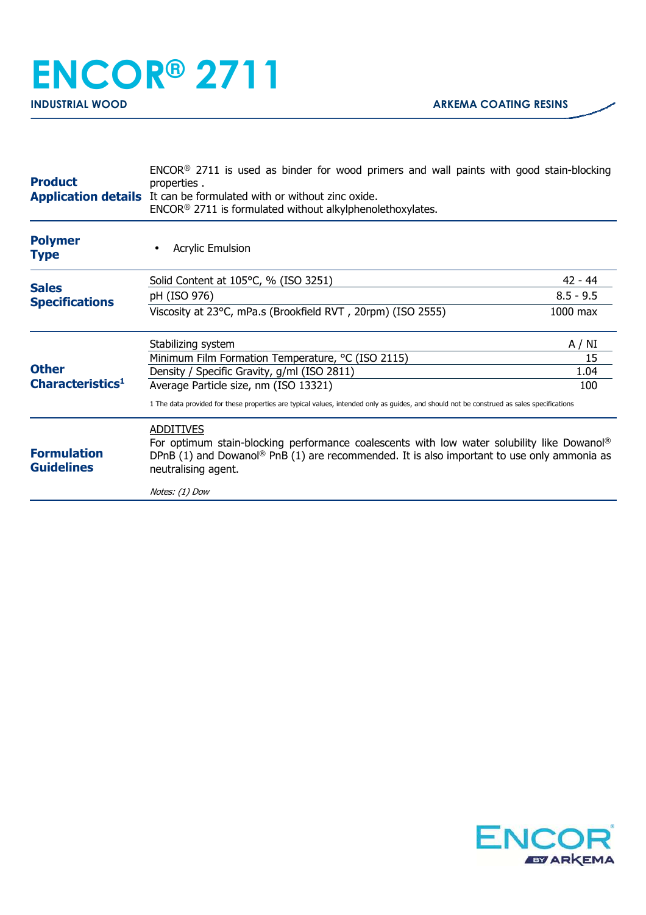## **ENCOR® 2711**

| <b>Product</b>                               | $ENCOR®$ 2711 is used as binder for wood primers and wall paints with good stain-blocking<br>properties.<br><b>Application details</b> It can be formulated with or without zinc oxide.<br>ENCOR <sup>®</sup> 2711 is formulated without alkylphenolethoxylates. |             |
|----------------------------------------------|------------------------------------------------------------------------------------------------------------------------------------------------------------------------------------------------------------------------------------------------------------------|-------------|
| <b>Polymer</b><br><b>Type</b>                | <b>Acrylic Emulsion</b>                                                                                                                                                                                                                                          |             |
|                                              | Solid Content at 105°C, % (ISO 3251)                                                                                                                                                                                                                             | 42 - 44     |
| <b>Sales</b><br><b>Specifications</b>        | pH (ISO 976)                                                                                                                                                                                                                                                     | $8.5 - 9.5$ |
| <b>Other</b><br>Characteristics <sup>1</sup> | Viscosity at 23°C, mPa.s (Brookfield RVT, 20rpm) (ISO 2555)                                                                                                                                                                                                      | 1000 max    |
|                                              | Stabilizing system                                                                                                                                                                                                                                               | A / NI      |
|                                              | Minimum Film Formation Temperature, °C (ISO 2115)                                                                                                                                                                                                                | 15          |
|                                              | Density / Specific Gravity, g/ml (ISO 2811)                                                                                                                                                                                                                      | 1.04        |
|                                              | Average Particle size, nm (ISO 13321)                                                                                                                                                                                                                            | 100         |
|                                              | 1 The data provided for these properties are typical values, intended only as quides, and should not be construed as sales specifications                                                                                                                        |             |
| <b>Formulation</b><br><b>Guidelines</b>      | <b>ADDITIVES</b><br>For optimum stain-blocking performance coalescents with low water solubility like Dowanol®<br>DPnB (1) and Dowanol <sup>®</sup> PnB (1) are recommended. It is also important to use only ammonia as<br>neutralising agent.                  |             |
|                                              | Notes: (1) Dow                                                                                                                                                                                                                                                   |             |